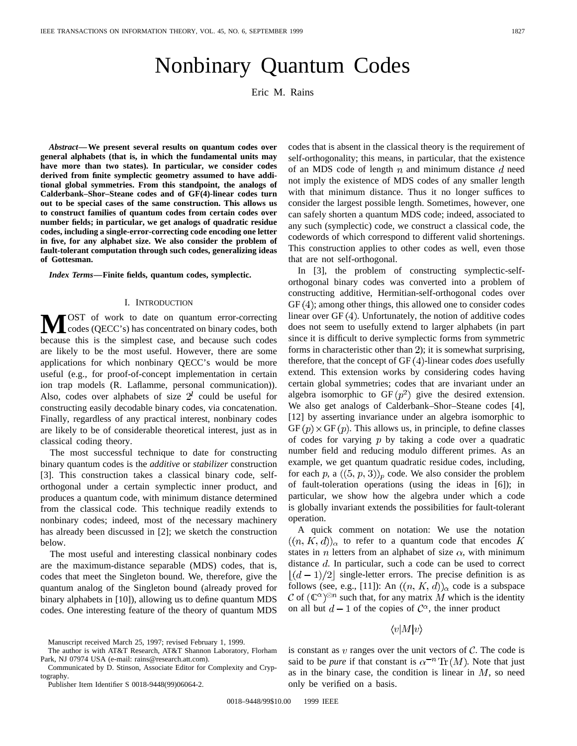# Nonbinary Quantum Codes

Eric M. Rains

*Abstract—***We present several results on quantum codes over general alphabets (that is, in which the fundamental units may have more than two states). In particular, we consider codes derived from finite symplectic geometry assumed to have additional global symmetries. From this standpoint, the analogs of Calderbank–Shor–Steane codes and of GF(4)-linear codes turn out to be special cases of the same construction. This allows us to construct families of quantum codes from certain codes over number fields; in particular, we get analogs of quadratic residue codes, including a single-error-correcting code encoding one letter in five, for any alphabet size. We also consider the problem of fault-tolerant computation through such codes, generalizing ideas of Gottesman.**

*Index Terms—***Finite fields, quantum codes, symplectic.**

#### I. INTRODUCTION

**M**OST of work to date on quantum error-correcting<br>codes (QECC's) has concentrated on binary codes, both<br>has used to the simplest sees and has used as data because this is the simplest case, and because such codes are likely to be the most useful. However, there are some applications for which nonbinary QECC's would be more useful (e.g., for proof-of-concept implementation in certain ion trap models (R. Laflamme, personal communication)). Also, codes over alphabets of size  $2^l$  could be useful for constructing easily decodable binary codes, via concatenation. Finally, regardless of any practical interest, nonbinary codes are likely to be of considerable theoretical interest, just as in classical coding theory.

The most successful technique to date for constructing binary quantum codes is the *additive* or *stabilizer* construction [3]. This construction takes a classical binary code, selforthogonal under a certain symplectic inner product, and produces a quantum code, with minimum distance determined from the classical code. This technique readily extends to nonbinary codes; indeed, most of the necessary machinery has already been discussed in [2]; we sketch the construction below.

The most useful and interesting classical nonbinary codes are the maximum-distance separable (MDS) codes, that is, codes that meet the Singleton bound. We, therefore, give the quantum analog of the Singleton bound (already proved for binary alphabets in [10]), allowing us to define quantum MDS codes. One interesting feature of the theory of quantum MDS

Manuscript received March 25, 1997; revised February 1, 1999.

Publisher Item Identifier S 0018-9448(99)06064-2.

codes that is absent in the classical theory is the requirement of self-orthogonality; this means, in particular, that the existence of an MDS code of length  $n$  and minimum distance  $d$  need not imply the existence of MDS codes of any smaller length with that minimum distance. Thus it no longer suffices to consider the largest possible length. Sometimes, however, one can safely shorten a quantum MDS code; indeed, associated to any such (symplectic) code, we construct a classical code, the codewords of which correspond to different valid shortenings. This construction applies to other codes as well, even those that are not self-orthogonal.

In [3], the problem of constructing symplectic-selforthogonal binary codes was converted into a problem of constructing additive, Hermitian-self-orthogonal codes over  $GF(4)$ ; among other things, this allowed one to consider codes linear over  $GF(4)$ . Unfortunately, the notion of additive codes does not seem to usefully extend to larger alphabets (in part since it is difficult to derive symplectic forms from symmetric forms in characteristic other than 2); it is somewhat surprising, therefore, that the concept of  $GF(4)$ -linear codes *does* usefully extend. This extension works by considering codes having certain global symmetries; codes that are invariant under an algebra isomorphic to  $GF(p^2)$  give the desired extension. We also get analogs of Calderbank–Shor–Steane codes [4], [12] by asserting invariance under an algebra isomorphic to  $GF(p) \times GF(p)$ . This allows us, in principle, to define classes of codes for varying  $p$  by taking a code over a quadratic number field and reducing modulo different primes. As an example, we get quantum quadratic residue codes, including, for each p, a  $((5, p, 3))_p$  code. We also consider the problem of fault-toleration operations (using the ideas in [6]); in particular, we show how the algebra under which a code is globally invariant extends the possibilities for fault-tolerant operation.

A quick comment on notation: We use the notation  $((n, K, d))_{\alpha}$  to refer to a quantum code that encodes K states in *n* letters from an alphabet of size  $\alpha$ , with minimum distance  $d$ . In particular, such a code can be used to correct  $\lfloor (d-1)/2 \rfloor$  single-letter errors. The precise definition is as follows (see, e.g., [11]): An  $((n, K, d))_{\alpha}$  code is a subspace C of  $(\mathbb{C}^{\alpha})^{\otimes n}$  such that, for any matrix M which is the identity on all but  $d-1$  of the copies of  $\mathcal{C}^{\alpha}$ , the inner product

 $\langle v|M|v\rangle$ 

is constant as v ranges over the unit vectors of  $C$ . The code is said to be *pure* if that constant is  $\alpha^{-n} \text{Tr}(M)$ . Note that just as in the binary case, the condition is linear in  $M$ , so need only be verified on a basis.

The author is with AT&T Research, AT&T Shannon Laboratory, Florham Park, NJ 07974 USA (e-mail: rains@research.att.com).

Communicated by D. Stinson, Associate Editor for Complexity and Cryptography.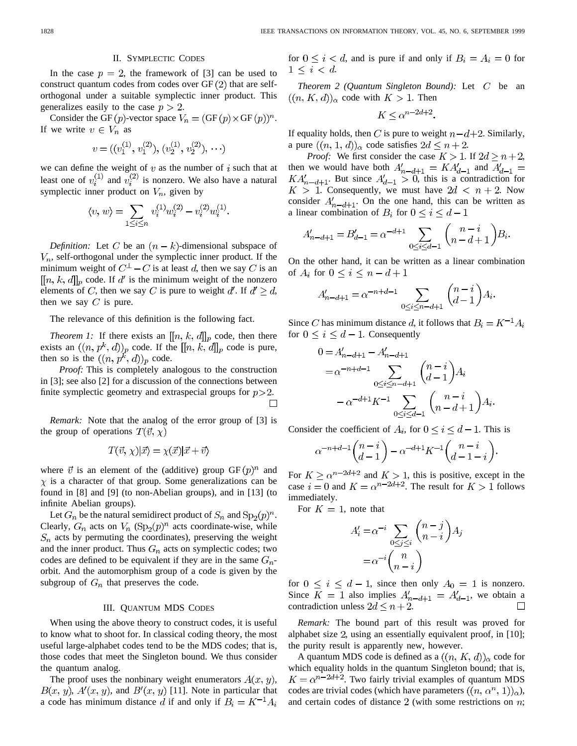# II. SYMPLECTIC CODES

In the case  $p = 2$ , the framework of [3] can be used to construct quantum codes from codes over  $GF(2)$  that are selforthogonal under a suitable symplectic inner product. This generalizes easily to the case  $p > 2$ .

Consider the GF  $(p)$ -vector space  $V_n = (\text{GF}(p) \times \text{GF}(p))^n$ . If we write  $v \in V_n$  as

$$
v = ((v_1^{(1)}, v_1^{(2)}), (v_2^{(1)}, v_2^{(2)}), \cdots)
$$

we can define the weight of  $v$  as the number of  $i$  such that at least one of  $v_i^{(1)}$  and  $v_i^{(2)}$  is nonzero. We also have a natural symplectic inner product on  $V_n$ , given by

$$
\langle v, w \rangle = \sum_{1 \le i \le n} v_i^{(1)} w_i^{(2)} - v_i^{(2)} w_i^{(1)}.
$$

*Definition:* Let C be an  $(n - k)$ -dimensional subspace of  $V_n$ , self-orthogonal under the symplectic inner product. If the minimum weight of  $C^{\perp} - C$  is at least d, then we say C is an  $[[n, k, d]]_p$  code. If d' is the minimum weight of the nonzero elements of C, then we say C is pure to weight d'. If  $d' \geq d$ , then we say  $C$  is pure.

The relevance of this definition is the following fact.

*Theorem 1:* If there exists an  $[[n, k, d]]_p$  code, then there exists an  $((n, p^k, d))_p$  code. If the  $[[n, k, d]]_p$  code is pure, then so is the  $((n, p^k, d))_p$  code.

*Proof:* This is completely analogous to the construction in [3]; see also [2] for a discussion of the connections between finite symplectic geometry and extraspecial groups for  $p > 2$ .  $\Box$ 

*Remark:* Note that the analog of the error group of [3] is the group of operations  $T(\vec{v}, \chi)$ 

$$
T(\vec{v}, \chi)|\vec{x}\rangle = \chi(\vec{x})|\vec{x} + \vec{v}\rangle
$$

where  $\vec{v}$  is an element of the (additive) group  $GF(p)^n$  and  $\chi$  is a character of that group. Some generalizations can be found in [8] and [9] (to non-Abelian groups), and in [13] (to infinite Abelian groups).

Let  $G_n$  be the natural semidirect product of  $S_n$  and  $Sp_2(p)^n$ . Clearly,  $G_n$  acts on  $V_n$  (Sp<sub>2</sub> $(p)^n$  acts coordinate-wise, while  $S_n$  acts by permuting the coordinates), preserving the weight and the inner product. Thus  $G_n$  acts on symplectic codes; two codes are defined to be equivalent if they are in the same  $G_n$ orbit. And the automorphism group of a code is given by the subgroup of  $G_n$  that preserves the code.

## III. QUANTUM MDS CODES

When using the above theory to construct codes, it is useful to know what to shoot for. In classical coding theory, the most useful large-alphabet codes tend to be the MDS codes; that is, those codes that meet the Singleton bound. We thus consider the quantum analog.

The proof uses the nonbinary weight enumerators  $A(x, y)$ ,  $B(x, y)$ ,  $A'(x, y)$ , and  $B'(x, y)$  [11]. Note in particular that a code has minimum distance d if and only if  $B_i = K^{-1}A_i$  for  $0 \le i \le d$ , and is pure if and only if  $B_i = A_i = 0$  for  $1 \leq i \leq d$ .

*Theorem 2 (Quantum Singleton Bound):* Let C be an  $((n, K, d))_{\alpha}$  code with  $K > 1$ . Then

$$
K \leq \alpha^{n-2d+2}.
$$

If equality holds, then C is pure to weight  $n-d+2$ . Similarly, a pure  $((n, 1, d))_{\alpha}$  code satisfies  $2d \leq n+2$ .

*Proof:* We first consider the case  $K > 1$ . If  $2d \ge n+2$ , then we would have both  $A'_{n-d+1} = KA'_{d-1}$  and . But since  $A'_{d-1} > 0$ , this is a contradiction for . Consequently, we must have  $2d < n + 2$ . Now consider  $A'_{n-d+1}$ . On the one hand, this can be written as a linear combination of  $B_i$  for  $0 \le i \le d-1$ 

$$
A'_{n-d+1} = B'_{d-1} = \alpha^{-d+1} \sum_{0 \le i \le d-1} \binom{n-i}{n-d+1} B_i.
$$

On the other hand, it can be written as a linear combination of  $A_i$  for  $0 \leq i \leq n-d+1$ 

$$
A'_{n-d+1} = \alpha^{-n+d-1} \sum_{0 \le i \le n-d+1} \binom{n-i}{d-1} A_i.
$$

Since C has minimum distance d, it follows that  $B_i = K^{-1}A_i$ for  $0 \leq i \leq d-1$ . Consequently

$$
0 = A'_{n-d+1} - A'_{n-d+1}
$$
  
=  $\alpha^{-n+d-1}$  
$$
\sum_{0 \le i \le n-d+1} {n-i \choose d-1} A_i
$$
  
-  $\alpha^{-d+1} K^{-1}$  
$$
\sum_{0 \le i \le d-1} {n-i \choose n-d+1} A_i.
$$

Consider the coefficient of  $A_i$ , for  $0 \le i \le d-1$ . This is

$$
\alpha^{-n+d-1}\binom{n-i}{d-1} - \alpha^{-d+1}K^{-1}\binom{n-i}{d-1-i}.
$$

For  $K \ge \alpha^{n-2d+2}$  and  $K > 1$ , this is positive, except in the case  $i = 0$  and  $K = \alpha^{n-2d+2}$ . The result for  $K > 1$  follows immediately.

For  $K = 1$ , note that

$$
A'_{i} = \alpha^{-i} \sum_{0 \le j \le i} {n-j \choose n-i} A_{j}
$$

$$
= \alpha^{-i} {n \choose n-i}
$$

for  $0 \le i \le d - 1$ , since then only  $A_0 = 1$  is nonzero. Since  $K = 1$  also implies  $A'_{n-d+1} = A'_{d-1}$ , we obtain a contradiction unless  $2d \leq n+2$ .

*Remark:* The bound part of this result was proved for alphabet size 2, using an essentially equivalent proof, in  $[10]$ ; the purity result is apparently new, however.

A quantum MDS code is defined as a  $((n, K, d))_{\alpha}$  code for which equality holds in the quantum Singleton bound; that is,  $K = \alpha^{n-2d+2}$ . Two fairly trivial examples of quantum MDS codes are trivial codes (which have parameters  $((n, \alpha^n, 1))_{\alpha}$ ), and certain codes of distance  $2$  (with some restrictions on  $n$ ;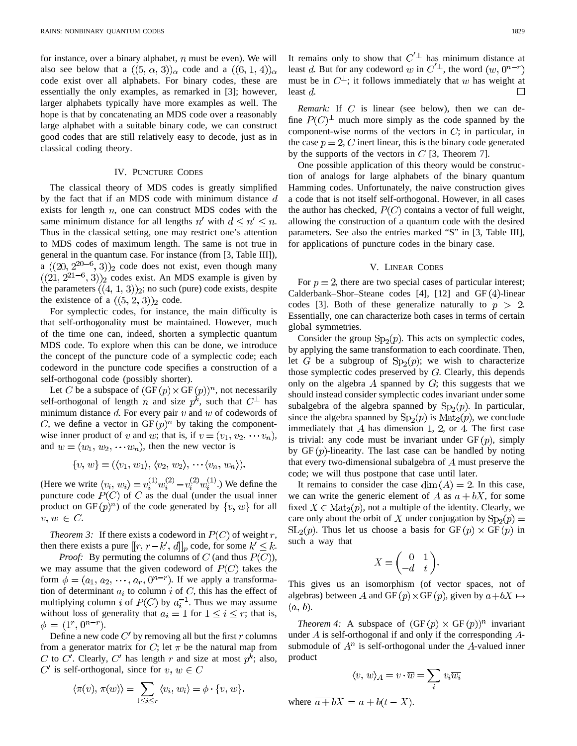for instance, over a binary alphabet,  $n$  must be even). We will also see below that a  $((5, \alpha, 3))_{\alpha}$  code and a  $((6, 1, 4))_{\alpha}$ code exist over all alphabets. For binary codes, these are essentially the only examples, as remarked in [3]; however, larger alphabets typically have more examples as well. The hope is that by concatenating an MDS code over a reasonably large alphabet with a suitable binary code, we can construct good codes that are still relatively easy to decode, just as in classical coding theory.

## IV. PUNCTURE CODES

The classical theory of MDS codes is greatly simplified by the fact that if an MDS code with minimum distance  $d$ exists for length  $n$ , one can construct MDS codes with the same minimum distance for all lengths n' with  $d \leq n' \leq n$ . Thus in the classical setting, one may restrict one's attention to MDS codes of maximum length. The same is not true in general in the quantum case. For instance (from [3, Table III]), a  $((20, 2^{20-6}, 3))_2$  code does not exist, even though many  $((21, 2^{21-6}, 3))$ <sup>2</sup> codes exist. An MDS example is given by the parameters  $((4, 1, 3))_2$ ; no such (pure) code exists, despite the existence of a  $((5, 2, 3))_2$  code.

For symplectic codes, for instance, the main difficulty is that self-orthogonality must be maintained. However, much of the time one can, indeed, shorten a symplectic quantum MDS code. To explore when this can be done, we introduce the concept of the puncture code of a symplectic code; each codeword in the puncture code specifies a construction of a self-orthogonal code (possibly shorter).

Let C be a subspace of  $(GF(p) \times GF(p))^n$ , not necessarily self-orthogonal of length n and size  $p^k$ , such that  $C^{\perp}$  has minimum distance  $d$ . For every pair  $v$  and  $w$  of codewords of C, we define a vector in  $GF(p)^n$  by taking the componentwise inner product of v and w; that is, if  $v = (v_1, v_2, \dots, v_n)$ , and  $w = (w_1, w_2, \cdots w_n)$ , then the new vector is

$$
\{v, w\} = (\langle v_1, w_1 \rangle, \langle v_2, w_2 \rangle, \cdots \langle v_n, w_n \rangle).
$$

(Here we write  $\langle v_i,\,w_i\rangle = v_i^{(1)}w_i^{(2)}-v_i^{(2)}w_i^{(1)}$  .) We define the puncture code  $P(C)$  of C as the dual (under the usual inner product on GF $(p)^n$  of the code generated by  $\{v, w\}$  for all  $v, w \in C$ .

*Theorem 3:* If there exists a codeword in  $P(C)$  of weight r, then there exists a pure  $[[r, r-k', d]]_p$  code, for some  $k' \leq k$ .

*Proof:* By permuting the columns of  $C$  (and thus  $P(C)$ ), we may assume that the given codeword of  $P(C)$  takes the form  $\phi = (a_1, a_2, \dots, a_r, 0^{n-r})$ . If we apply a transformation of determinant  $a_i$  to column i of C, this has the effect of multiplying column i of  $P(C)$  by  $a_i^{-1}$ . Thus we may assume without loss of generality that  $a_i = 1$  for  $1 \le i \le r$ ; that is,  $\phi = (1^r, 0^{n-r}).$ 

Define a new code  $C'$  by removing all but the first r columns from a generator matrix for C; let  $\pi$  be the natural map from C to C'. Clearly, C' has length r and size at most  $p^k$ ; also,  $C'$  is self-orthogonal, since for  $v, w \in C$ 

$$
\langle \pi(v), \pi(w) \rangle = \sum_{1 \leq i \leq r} \langle v_i, w_i \rangle = \phi \cdot \{v, w\}.
$$

It remains only to show that  $C<sup>'\perp</sup>$  has minimum distance at least d. But for any codeword w in  $C^{\prime \perp}$ , the word  $(w, 0^{n-r})$ must be in  $C^{\perp}$ ; it follows immediately that w has weight at least  $d$ 

*Remark:* If  $C$  is linear (see below), then we can define  $P(C)^{\perp}$  much more simply as the code spanned by the component-wise norms of the vectors in  $C$ ; in particular, in the case  $p = 2$ , C inert linear, this is the binary code generated by the supports of the vectors in  $C$  [3, Theorem 7].

One possible application of this theory would be construction of analogs for large alphabets of the binary quantum Hamming codes. Unfortunately, the naive construction gives a code that is not itself self-orthogonal. However, in all cases the author has checked,  $P(C)$  contains a vector of full weight, allowing the construction of a quantum code with the desired parameters. See also the entries marked "S" in [3, Table III], for applications of puncture codes in the binary case.

## V. LINEAR CODES

For  $p = 2$ , there are two special cases of particular interest; Calderbank–Shor–Steane codes [4], [12] and  $GF(4)$ -linear codes [3]. Both of these generalize naturally to  $p > 2$ . Essentially, one can characterize both cases in terms of certain global symmetries.

Consider the group  $Sp_2(p)$ . This acts on symplectic codes, by applying the same transformation to each coordinate. Then, let G be a subgroup of  $Sp_2(p)$ ; we wish to characterize those symplectic codes preserved by  $G$ . Clearly, this depends only on the algebra  $A$  spanned by  $G$ ; this suggests that we should instead consider symplectic codes invariant under some subalgebra of the algebra spanned by  $Sp<sub>2</sub>(p)$ . In particular, since the algebra spanned by  $Sp_2(p)$  is  $Mat_2(p)$ , we conclude immediately that  $A$  has dimension 1, 2, or 4. The first case is trivial: any code must be invariant under  $GF(p)$ , simply by  $GF(p)$ -linearity. The last case can be handled by noting that every two-dimensional subalgebra of  $A$  must preserve the code; we will thus postpone that case until later.

It remains to consider the case  $\dim(A) = 2$ . In this case, we can write the generic element of A as  $a + bX$ , for some fixed  $X \in Mat_2(p)$ , not a multiple of the identity. Clearly, we care only about the orbit of X under conjugation by  $Sp_2(p)$  =  $SL_2(p)$ . Thus let us choose a basis for  $GF(p) \times GF(p)$  in such a way that

$$
X = \begin{pmatrix} 0 & 1 \\ -d & t \end{pmatrix}.
$$

This gives us an isomorphism (of vector spaces, not of algebras) between A and GF  $(p) \times$  GF  $(p)$ , given by  $a + bX \mapsto$  $(a, b).$ 

*Theorem 4:* A subspace of  $(GF(p) \times GF(p))^n$  invariant under  $\overline{A}$  is self-orthogonal if and only if the corresponding  $\overline{A}$ submodule of  $A<sup>n</sup>$  is self-orthogonal under the A-valued inner product

$$
\langle v, w \rangle_A = v \cdot \overline{w} = \sum_i v_i \overline{w_i}
$$
 where  
  $\overline{a + bX} = a + b(t - X).$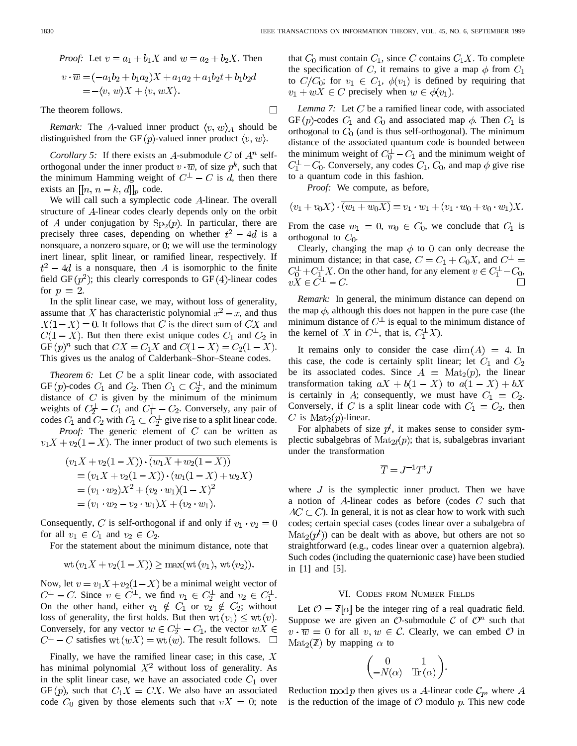*Proof:* Let 
$$
v = a_1 + b_1X
$$
 and  $w = a_2 + b_2X$ . Then  
\n
$$
v \cdot \overline{w} = (-a_1b_2 + b_1a_2)X + a_1a_2 + a_1b_2t + b_1b_2d
$$
\n
$$
= -\langle v, w \rangle X + \langle v, wX \rangle.
$$

The theorem follows.

*Remark:* The A-valued inner product  $\langle v, w \rangle_A$  should be distinguished from the GF  $(p)$ -valued inner product  $\langle v, w \rangle$ .

*Corollary 5:* If there exists an A-submodule  $C$  of  $A^n$  selforthogonal under the inner product  $v \cdot \overline{w}$ , of size  $p^k$ , such that the minimum Hamming weight of  $C^{\perp} - C$  is d, then there exists an  $[[n, n-k, d]]_p$  code.

We will call such a symplectic code  $A$ -linear. The overall structure of A-linear codes clearly depends only on the orbit of A under conjugation by  $Sp<sub>2</sub>(p)$ . In particular, there are precisely three cases, depending on whether  $t^2 - 4d$  is a nonsquare, a nonzero square, or  $\theta$ ; we will use the terminology inert linear, split linear, or ramified linear, respectively. If  $t^2 - 4d$  is a nonsquare, then A is isomorphic to the finite field GF  $(p^2)$ ; this clearly corresponds to GF (4)-linear codes for  $p = 2$ .

In the split linear case, we may, without loss of generality, assume that X has characteristic polynomial  $x^2 - x$ , and thus  $X(1-X) = 0$ . It follows that C is the direct sum of CX and  $C(1 - X)$ . But then there exist unique codes  $C_1$  and  $C_2$  in GF  $(p)^n$  such that  $CX = C_1X$  and  $C(1 - X) = C_2(1 - X)$ . This gives us the analog of Calderbank–Shor–Steane codes.

*Theorem 6:* Let  $C$  be a split linear code, with associated GF  $(p)$ -codes  $C_1$  and  $C_2$ . Then  $C_1 \subset C_2^{\perp}$ , and the minimum distance of  $C$  is given by the minimum of the minimum weights of  $C_2^{\perp} - C_1$  and  $C_1^{\perp} - C_2$ . Conversely, any pair of codes  $C_1$  and  $C_2$  with  $C_1 \subset \overline{C_2^{\perp}}$  give rise to a split linear code.

*Proof:* The generic element of  $C$  can be written as  $v_1X + v_2(1-X)$ . The inner product of two such elements is

$$
(v_1X + v_2(1-X)) \cdot \overline{(w_1X + w_2(1-X))}
$$
  
=  $(v_1X + v_2(1-X)) \cdot (w_1(1-X) + w_2X)$   
=  $(v_1 \cdot w_2)X^2 + (v_2 \cdot w_1)(1-X)^2$   
=  $(v_1 \cdot w_2 - v_2 \cdot w_1)X + (v_2 \cdot w_1).$ 

Consequently, C is self-orthogonal if and only if  $v_1 \cdot v_2 = 0$ for all  $v_1 \in C_1$  and  $v_2 \in C_2$ .

For the statement about the minimum distance, note that

$$
wt(v_1X + v_2(1 - X)) \ge max(wt(v_1), wt(v_2)).
$$

Now, let  $v = v_1 X + v_2 (1 - X)$  be a minimal weight vector of  $C^{\perp} - C$ . Since  $v \in C^{\perp}$ , we find  $v_1 \in C_2^{\perp}$  and  $v_2 \in C_1^{\perp}$ . On the other hand, either  $v_1 \notin C_1$  or  $v_2 \notin C_2$ ; without loss of generality, the first holds. But then  $wt(v_1) \le wt(v)$ . Conversely, for any vector  $w \in C_2^{\perp} - C_1$ , the vector  $wX \in$  $C^{\perp} - C$  satisfies wt  $(wX) = \text{wt}(w)$ . The result follows.  $\square$ 

Finally, we have the ramified linear case; in this case,  $X$ has minimal polynomial  $X^2$  without loss of generality. As in the split linear case, we have an associated code  $C_1$  over  $GF(p)$ , such that  $C_1X = CX$ . We also have an associated code  $C_0$  given by those elements such that  $vX = 0$ ; note that  $C_0$  must contain  $C_1$ , since C contains  $C_1X$ . To complete the specification of C, it remains to give a map  $\phi$  from  $C_1$ to  $C/C_0$ ; for  $v_1 \in C_1$ ,  $\phi(v_1)$  is defined by requiring that  $v_1 + wX \in C$  precisely when  $w \in \phi(v_1)$ .

*Lemma 7:* Let  $C$  be a ramified linear code, with associated GF (p)-codes  $C_1$  and  $C_0$  and associated map  $\phi$ . Then  $C_1$  is orthogonal to  $C_0$  (and is thus self-orthogonal). The minimum distance of the associated quantum code is bounded between the minimum weight of  $C_0^{\perp} - C_1$  and the minimum weight of  $C_1^{\perp}$  –  $C_0$ . Conversely, any codes  $C_1$ ,  $C_0$ , and map  $\phi$  give rise to a quantum code in this fashion.

*Proof:* We compute, as before,

$$
(v_1 + v_0 X) \cdot \overline{(w_1 + w_0 X)} = v_1 \cdot w_1 + (v_1 \cdot w_0 + v_0 \cdot w_1) X.
$$

From the case  $w_1 = 0, w_0 \in C_0$ , we conclude that  $C_1$  is orthogonal to  $C_0$ .

Clearly, changing the map  $\phi$  to 0 can only decrease the minimum distance; in that case,  $C = C_1 + C_0 X$ , and  $C^{\perp}$  $C_0^{\perp} + C_1^{\perp} X$ . On the other hand, for any element  $v \in C_1^{\perp} - C_0$ ,  $vX \in C^{\perp} - C.$ 

*Remark:* In general, the minimum distance can depend on the map  $\phi$ , although this does not happen in the pure case (the minimum distance of  $C^{\perp}$  is equal to the minimum distance of the kernel of X in  $C^{\perp}$ , that is,  $C^{\perp}_{1}X$ ).

It remains only to consider the case  $\dim(A) = 4$ . In this case, the code is certainly split linear; let  $C_1$  and  $C_2$ be its associated codes. Since  $A = \text{Mat}_2(p)$ , the linear transformation taking  $aX + b(1 - X)$  to  $a(1 - X) + bX$ is certainly in A; consequently, we must have  $C_1 = C_2$ . Conversely, if C is a split linear code with  $C_1 = C_2$ , then C is  $Mat_2(p)$ -linear.

For alphabets of size  $p^{l}$ , it makes sense to consider symplectic subalgebras of  $\text{Mat}_{2l}(p)$ ; that is, subalgebras invariant under the transformation

$$
\overline{T}=J^{-1}T^tJ
$$

where  $J$  is the symplectic inner product. Then we have a notion of  $A$ -linear codes as before (codes  $C$  such that  $AC \subset C$ ). In general, it is not as clear how to work with such codes; certain special cases (codes linear over a subalgebra of  $\text{Mat}_2(p^l)$  can be dealt with as above, but others are not so straightforward (e.g., codes linear over a quaternion algebra). Such codes (including the quaternionic case) have been studied in [1] and [5].

### VI. CODES FROM NUMBER FIELDS

Let  $\mathcal{O} = \mathbb{Z}[\alpha]$  be the integer ring of a real quadratic field. Suppose we are given an  $\mathcal{O}\text{-submodule } \mathcal{C}$  of  $\mathcal{O}^n$  such that  $v \cdot \overline{w} = 0$  for all  $v, w \in \mathcal{C}$ . Clearly, we can embed  $\mathcal{O}$  in  $\text{Mat}_2(\mathbb{Z})$  by mapping  $\alpha$  to

$$
\begin{pmatrix} 0 & 1 \\ -N(\alpha) & \text{Tr}(\alpha) \end{pmatrix}.
$$

Reduction mod p then gives us a A-linear code  $\mathcal{C}_p$ , where A is the reduction of the image of  $O$  modulo  $p$ . This new code

 $\Box$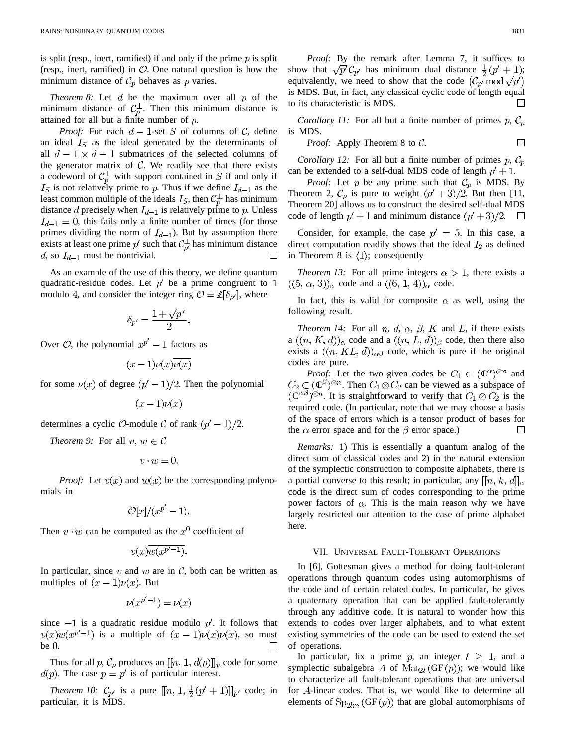is split (resp., inert, ramified) if and only if the prime  $p$  is split (resp., inert, ramified) in  $O$ . One natural question is how the minimum distance of  $C_p$  behaves as p varies.

*Theorem 8:* Let  $d$  be the maximum over all  $p$  of the minimum distance of  $C_p^{\perp}$ . Then this minimum distance is attained for all but a finite number of  $p$ .

*Proof:* For each  $d-1$ -set S of columns of C, define an ideal  $I<sub>S</sub>$  as the ideal generated by the determinants of all  $d-1 \times d-1$  submatrices of the selected columns of the generator matrix of  $C$ . We readily see that there exists a codeword of  $C_p^{\perp}$  with support contained in S if and only if  $I<sub>S</sub>$  is not relatively prime to p. Thus if we define  $I<sub>d-1</sub>$  as the least common multiple of the ideals  $I_S$ , then  $\mathcal{C}_p^{\perp}$  has minimum distance d precisely when  $I_{d-1}$  is relatively prime to p. Unless  $I_{d-1} = 0$ , this fails only a finite number of times (for those primes dividing the norm of  $I_{d-1}$ ). But by assumption there exists at least one prime  $p'$  such that  $C_{p'}^{\perp}$  has minimum distance d, so  $I_{d-1}$  must be nontrivial.  $\Box$ 

As an example of the use of this theory, we define quantum quadratic-residue codes. Let  $p'$  be a prime congruent to 1 modulo 4, and consider the integer ring  $\mathcal{O} = \mathbb{Z}[\delta_{p'}]$ , where

$$
\delta_{p'} = \frac{1 + \sqrt{p'}}{2}.
$$

Over  $\mathcal{O}$ , the polynomial  $x^{p'} - 1$  factors as

$$
(x-1)\nu(x)\overline{\nu(x)}
$$

for some  $\nu(x)$  of degree  $(p' - 1)/2$ . Then the polynomial

$$
(x-1)\nu(x)
$$

determines a cyclic  $\mathcal{O}$ -module  $\mathcal C$  of rank  $(p' - 1)/2$ .

*Theorem 9:* For all  $v, w \in \mathcal{C}$ 

$$
v\cdot \overline{w}=0.
$$

*Proof:* Let  $v(x)$  and  $w(x)$  be the corresponding polynomials in

$$
\mathcal{O}[x]/(x^{p'}-1).
$$

Then  $v \cdot \overline{w}$  can be computed as the  $x^0$  coefficient of

$$
v(x)\overline{w(x^{p'-1})}.
$$

In particular, since v and w are in  $\mathcal{C}$ , both can be written as multiples of  $(x - 1)\nu(x)$ . But

$$
\nu(x^{p'-1}) = \nu(x)
$$

since  $-1$  is a quadratic residue modulo  $p'$ . It follows that  $v(x)w(x^{p-1})$  is a multiple of  $(x - 1)v(x)v(x)$ , so must be  $0$ .  $\Box$ 

Thus for all p,  $C_p$  produces an  $[[n, 1, d(p)]]_p$  code for some  $d(p)$ . The case  $p = p'$  is of particular interest.

*Theorem 10:*  $C_{p'}$  is a pure  $[[n, 1, \frac{1}{2}(p' + 1)]]_{p'}$  code; in particular, it is MDS.

*Proof:* By the remark after Lemma 7, it suffices to show that  $\sqrt{p'}\mathcal{C}_{p'}$  has minimum dual distance  $\frac{1}{2}(p'+1)$ ; equivalently, we need to show that the code  $(\mathcal{C}_{p'} \mod \sqrt{p'})$ is MDS. But, in fact, any classical cyclic code of length equal to its characteristic is MDS. П

*Corollary 11:* For all but a finite number of primes  $p, C_p$ is MDS.

*Proof:* Apply Theorem 8 to 
$$
C
$$
.

*Corollary 12:* For all but a finite number of primes  $p$ ,  $C_p$ can be extended to a self-dual MDS code of length  $p' + 1$ .

*Proof:* Let p be any prime such that  $C_p$  is MDS. By Theorem 2,  $\mathcal{C}_p$  is pure to weight  $(p' + 3)/2$ . But then [11, Theorem 20] allows us to construct the desired self-dual MDS code of length  $p' + 1$  and minimum distance  $(p' + 3)/2$ .

Consider, for example, the case  $p' = 5$ . In this case, a direct computation readily shows that the ideal  $I_2$  as defined in Theorem 8 is  $\langle 1 \rangle$ ; consequently

*Theorem 13:* For all prime integers  $\alpha > 1$ , there exists a  $((5, \alpha, 3))_{\alpha}$  code and a  $((6, 1, 4))_{\alpha}$  code.

In fact, this is valid for composite  $\alpha$  as well, using the following result.

*Theorem 14:* For all *n*, *d*,  $\alpha$ ,  $\beta$ , *K* and *L*, if there exists a  $((n, K, d))_{\alpha}$  code and a  $((n, L, d))_{\beta}$  code, then there also exists a  $((n, KL, d))_{\alpha\beta}$  code, which is pure if the original codes are pure.

*Proof:* Let the two given codes be  $C_1 \subset (\mathbb{C}^{\alpha})^{\otimes n}$  and  $C_2 \subset (\mathbb{C}^{\beta})^{\otimes n}$ . Then  $C_1 \otimes C_2$  can be viewed as a subspace of  $(\overline{\mathbb{C}}^{\alpha\beta})^{\otimes n}$ . It is straightforward to verify that  $C_1 \otimes C_2$  is the required code. (In particular, note that we may choose a basis of the space of errors which is a tensor product of bases for the  $\alpha$  error space and for the  $\beta$  error space.)  $\Box$ 

*Remarks:* 1) This is essentially a quantum analog of the direct sum of classical codes and 2) in the natural extension of the symplectic construction to composite alphabets, there is a partial converse to this result; in particular, any  $[[n, k, d]]_{\alpha}$ code is the direct sum of codes corresponding to the prime power factors of  $\alpha$ . This is the main reason why we have largely restricted our attention to the case of prime alphabet here.

#### VII. UNIVERSAL FAULT-TOLERANT OPERATIONS

In [6], Gottesman gives a method for doing fault-tolerant operations through quantum codes using automorphisms of the code and of certain related codes. In particular, he gives a quaternary operation that can be applied fault-tolerantly through any additive code. It is natural to wonder how this extends to codes over larger alphabets, and to what extent existing symmetries of the code can be used to extend the set of operations.

In particular, fix a prime p, an integer  $l \geq 1$ , and a symplectic subalgebra A of  $Mat_{2l}(\text{GF}(p))$ ; we would like to characterize all fault-tolerant operations that are universal for A-linear codes. That is, we would like to determine all elements of  $Sp_{2lm}(GF(p))$  that are global automorphisms of